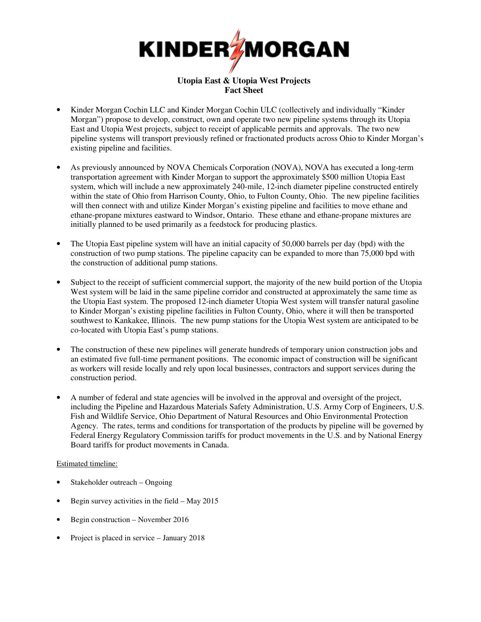

## **Utopia East & Utopia West Projects Fact Sheet**

- Kinder Morgan Cochin LLC and Kinder Morgan Cochin ULC (collectively and individually "Kinder Morgan") propose to develop, construct, own and operate two new pipeline systems through its Utopia East and Utopia West projects, subject to receipt of applicable permits and approvals. The two new pipeline systems will transport previously refined or fractionated products across Ohio to Kinder Morgan's existing pipeline and facilities.
- As previously announced by NOVA Chemicals Corporation (NOVA), NOVA has executed a long-term transportation agreement with Kinder Morgan to support the approximately \$500 million Utopia East system, which will include a new approximately 240-mile, 12-inch diameter pipeline constructed entirely within the state of Ohio from Harrison County, Ohio, to Fulton County, Ohio. The new pipeline facilities will then connect with and utilize Kinder Morgan's existing pipeline and facilities to move ethane and ethane-propane mixtures eastward to Windsor, Ontario. These ethane and ethane-propane mixtures are initially planned to be used primarily as a feedstock for producing plastics.
- The Utopia East pipeline system will have an initial capacity of 50,000 barrels per day (bpd) with the construction of two pump stations. The pipeline capacity can be expanded to more than 75,000 bpd with the construction of additional pump stations.
- Subject to the receipt of sufficient commercial support, the majority of the new build portion of the Utopia West system will be laid in the same pipeline corridor and constructed at approximately the same time as the Utopia East system. The proposed 12-inch diameter Utopia West system will transfer natural gasoline to Kinder Morgan's existing pipeline facilities in Fulton County, Ohio, where it will then be transported southwest to Kankakee, Illinois. The new pump stations for the Utopia West system are anticipated to be co-located with Utopia East's pump stations.
- The construction of these new pipelines will generate hundreds of temporary union construction jobs and an estimated five full-time permanent positions. The economic impact of construction will be significant as workers will reside locally and rely upon local businesses, contractors and support services during the construction period.
- A number of federal and state agencies will be involved in the approval and oversight of the project, including the Pipeline and Hazardous Materials Safety Administration, U.S. Army Corp of Engineers, U.S. Fish and Wildlife Service, Ohio Department of Natural Resources and Ohio Environmental Protection Agency. The rates, terms and conditions for transportation of the products by pipeline will be governed by Federal Energy Regulatory Commission tariffs for product movements in the U.S. and by National Energy Board tariffs for product movements in Canada.

## Estimated timeline:

- Stakeholder outreach Ongoing
- Begin survey activities in the field May 2015
- Begin construction November 2016
- Project is placed in service January 2018